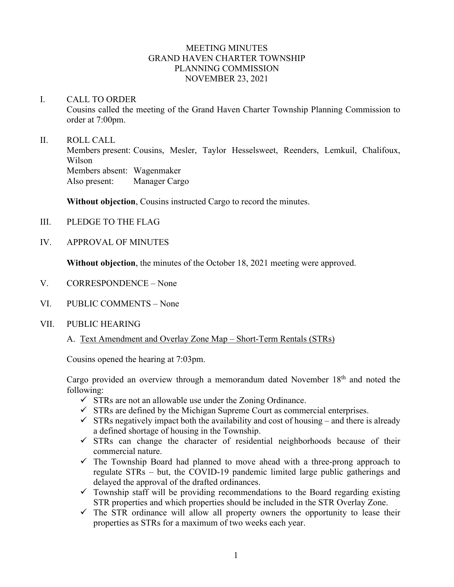## MEETING MINUTES GRAND HAVEN CHARTER TOWNSHIP PLANNING COMMISSION NOVEMBER 23, 2021

#### I. CALL TO ORDER

Cousins called the meeting of the Grand Haven Charter Township Planning Commission to order at 7:00pm.

### II. ROLL CALL

Members present: Cousins, Mesler, Taylor Hesselsweet, Reenders, Lemkuil, Chalifoux, Wilson Members absent: Wagenmaker Also present: Manager Cargo

**Without objection**, Cousins instructed Cargo to record the minutes.

- III. PLEDGE TO THE FLAG
- IV. APPROVAL OF MINUTES

**Without objection**, the minutes of the October 18, 2021 meeting were approved.

- V. CORRESPONDENCE None
- VI. PUBLIC COMMENTS None
- VII. PUBLIC HEARING

A. Text Amendment and Overlay Zone Map – Short-Term Rentals (STRs)

Cousins opened the hearing at 7:03pm.

Cargo provided an overview through a memorandum dated November 18<sup>th</sup> and noted the following:

- $\checkmark$  STRs are not an allowable use under the Zoning Ordinance.
- $\checkmark$  STRs are defined by the Michigan Supreme Court as commercial enterprises.
- $\checkmark$  STRs negatively impact both the availability and cost of housing and there is already a defined shortage of housing in the Township.
- $\checkmark$  STRs can change the character of residential neighborhoods because of their commercial nature.
- $\checkmark$  The Township Board had planned to move ahead with a three-prong approach to regulate STRs – but, the COVID-19 pandemic limited large public gatherings and delayed the approval of the drafted ordinances.
- $\checkmark$  Township staff will be providing recommendations to the Board regarding existing STR properties and which properties should be included in the STR Overlay Zone.
- $\checkmark$  The STR ordinance will allow all property owners the opportunity to lease their properties as STRs for a maximum of two weeks each year.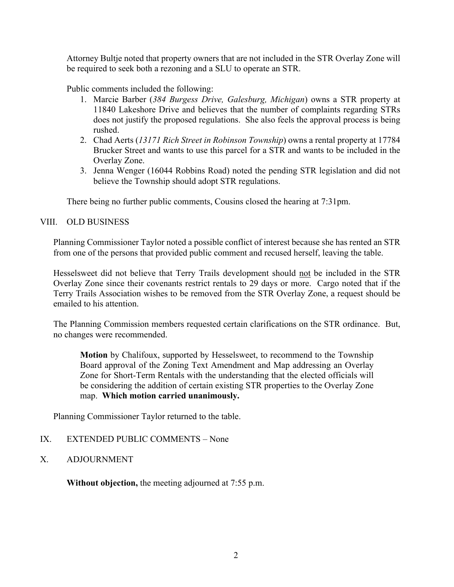Attorney Bultje noted that property owners that are not included in the STR Overlay Zone will be required to seek both a rezoning and a SLU to operate an STR.

Public comments included the following:

- 1. Marcie Barber (*384 Burgess Drive, Galesburg, Michigan*) owns a STR property at 11840 Lakeshore Drive and believes that the number of complaints regarding STRs does not justify the proposed regulations. She also feels the approval process is being rushed.
- 2. Chad Aerts (*13171 Rich Street in Robinson Township*) owns a rental property at 17784 Brucker Street and wants to use this parcel for a STR and wants to be included in the Overlay Zone.
- 3. Jenna Wenger (16044 Robbins Road) noted the pending STR legislation and did not believe the Township should adopt STR regulations.

There being no further public comments, Cousins closed the hearing at 7:31pm.

# VIII. OLD BUSINESS

Planning Commissioner Taylor noted a possible conflict of interest because she has rented an STR from one of the persons that provided public comment and recused herself, leaving the table.

Hesselsweet did not believe that Terry Trails development should not be included in the STR Overlay Zone since their covenants restrict rentals to 29 days or more. Cargo noted that if the Terry Trails Association wishes to be removed from the STR Overlay Zone, a request should be emailed to his attention.

The Planning Commission members requested certain clarifications on the STR ordinance. But, no changes were recommended.

**Motion** by Chalifoux, supported by Hesselsweet, to recommend to the Township Board approval of the Zoning Text Amendment and Map addressing an Overlay Zone for Short-Term Rentals with the understanding that the elected officials will be considering the addition of certain existing STR properties to the Overlay Zone map. **Which motion carried unanimously.**

Planning Commissioner Taylor returned to the table.

## IX. EXTENDED PUBLIC COMMENTS – None

X. ADJOURNMENT

**Without objection,** the meeting adjourned at 7:55 p.m.